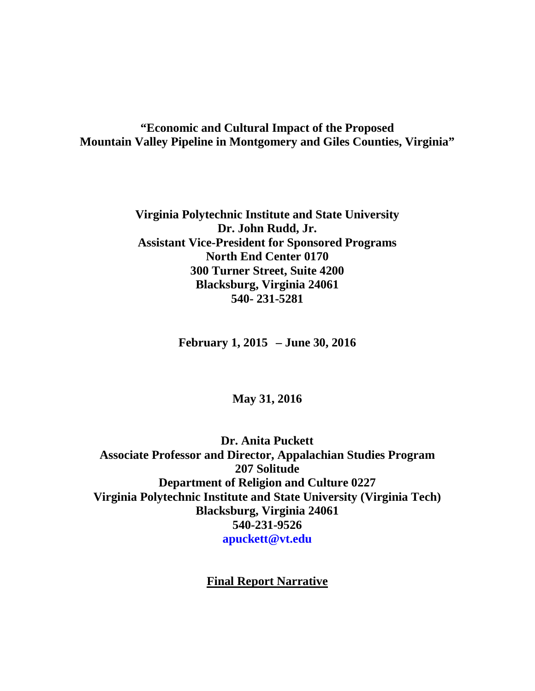# **"Economic and Cultural Impact of the Proposed Mountain Valley Pipeline in Montgomery and Giles Counties, Virginia"**

**Virginia Polytechnic Institute and State University Dr. John Rudd, Jr. Assistant Vice-President for Sponsored Programs North End Center 0170 300 Turner Street, Suite 4200 Blacksburg, Virginia 24061 540- 231-5281**

**February 1, 2015 – June 30, 2016**

# **May 31, 2016**

**Dr. Anita Puckett Associate Professor and Director, Appalachian Studies Program 207 Solitude Department of Religion and Culture 0227 Virginia Polytechnic Institute and State University (Virginia Tech) Blacksburg, Virginia 24061 540-231-9526 apuckett@vt.edu**

**Final Report Narrative**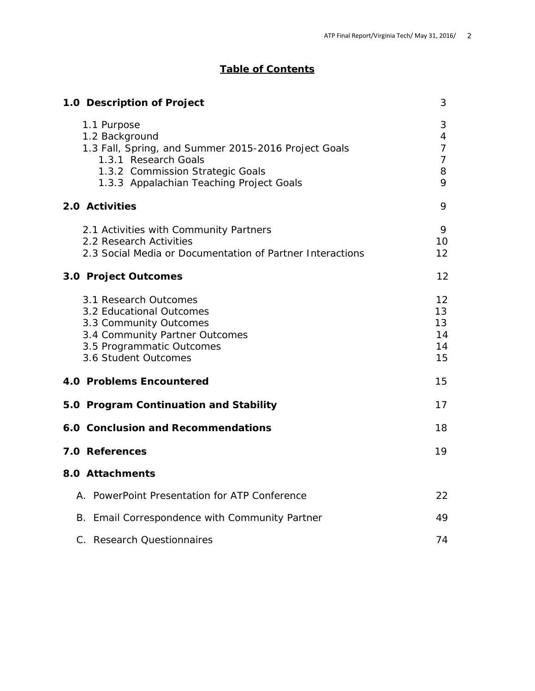# **Table of Contents**

| 1.0 Description of Project                                                                                                                                                                    |                                                                   |  |
|-----------------------------------------------------------------------------------------------------------------------------------------------------------------------------------------------|-------------------------------------------------------------------|--|
| 1.1 Purpose<br>1.2 Background<br>1.3 Fall, Spring, and Summer 2015-2016 Project Goals<br>1.3.1 Research Goals<br>1.3.2 Commission Strategic Goals<br>1.3.3 Appalachian Teaching Project Goals | 3<br>$\overline{4}$<br>$\overline{7}$<br>$\overline{7}$<br>8<br>9 |  |
| 2.0 Activities                                                                                                                                                                                | 9                                                                 |  |
| 2.1 Activities with Community Partners<br>2.2 Research Activities<br>2.3 Social Media or Documentation of Partner Interactions                                                                | 9<br>10<br>$12 \overline{ }$                                      |  |
| 3.0 Project Outcomes                                                                                                                                                                          | 12                                                                |  |
| 3.1 Research Outcomes<br>3.2 Educational Outcomes<br>3.3 Community Outcomes<br>3.4 Community Partner Outcomes<br>3.5 Programmatic Outcomes<br>3.6 Student Outcomes                            | $12 \,$<br>13<br>13<br>14<br>14<br>15                             |  |
| 4.0 Problems Encountered                                                                                                                                                                      | 15                                                                |  |
| 5.0 Program Continuation and Stability                                                                                                                                                        | 17                                                                |  |
| 6.0 Conclusion and Recommendations                                                                                                                                                            | 18                                                                |  |
| 7.0 References                                                                                                                                                                                | 19                                                                |  |
| 8.0 Attachments                                                                                                                                                                               |                                                                   |  |
| A. PowerPoint Presentation for ATP Conference                                                                                                                                                 | 22                                                                |  |
| B. Email Correspondence with Community Partner                                                                                                                                                | 49                                                                |  |
| C. Research Questionnaires                                                                                                                                                                    | 74                                                                |  |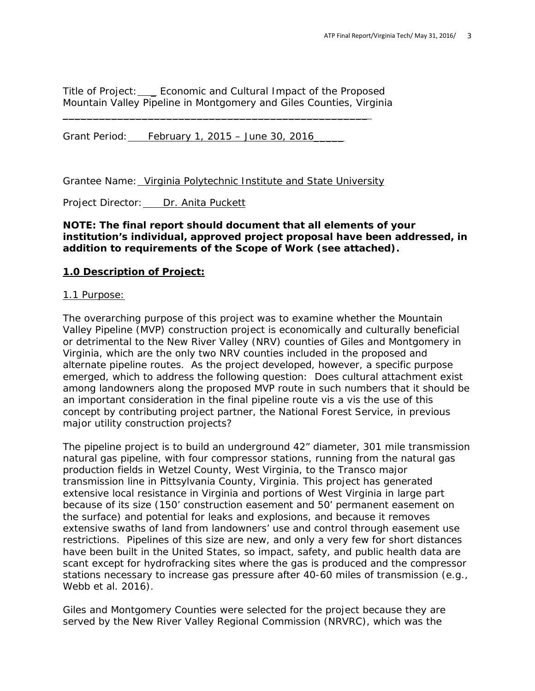Title of Project: \_ Economic and Cultural Impact of the Proposed Mountain Valley Pipeline in Montgomery and Giles Counties, Virginia

 $\overline{\phantom{a}}$  , and the contract of the contract of the contract of the contract of the contract of the contract of the contract of the contract of the contract of the contract of the contract of the contract of the contrac

Grant Period: February 1, 2015 – June 30, 2016

Grantee Name: Virginia Polytechnic Institute and State University

Project Director: Dr. Anita Puckett

## **NOTE: The final report should document that all elements of your institution's individual, approved project proposal have been addressed, in addition to requirements of the Scope of Work (see attached).**

### **1.0 Description of Project:**

#### 1.1 Purpose:

The overarching purpose of this project was to examine whether the Mountain Valley Pipeline (MVP) construction project is economically and culturally beneficial or detrimental to the New River Valley (NRV) counties of Giles and Montgomery in Virginia, which are the only two NRV counties included in the proposed and alternate pipeline routes. As the project developed, however, a specific purpose emerged, which to address the following question: Does cultural attachment exist among landowners along the proposed MVP route in such numbers that it should be an important consideration in the final pipeline route vis a vis the use of this concept by contributing project partner, the National Forest Service, in previous major utility construction projects?

The pipeline project is to build an underground 42" diameter, 301 mile *transmission* natural gas pipeline, with four compressor stations, running from the natural gas production fields in Wetzel County, West Virginia, to the Transco major transmission line in Pittsylvania County, Virginia. This project has generated extensive local resistance in Virginia and portions of West Virginia in large part because of its size (150' construction easement and 50' permanent easement on the surface) and potential for leaks and explosions, and because it removes extensive swaths of land from landowners' use and control through easement use restrictions. Pipelines of this size are new, and only a very few for short distances have been built in the United States, so impact, safety, and public health data are scant except for hydrofracking sites where the gas is produced and the compressor stations necessary to increase gas pressure after 40-60 miles of transmission (e.g., Webb et al. 2016).

Giles and Montgomery Counties were selected for the project because they are served by the New River Valley Regional Commission (NRVRC), which was the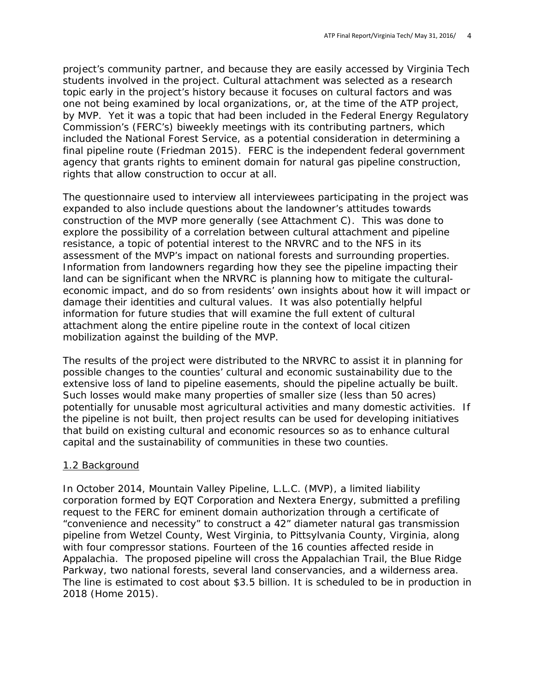project's community partner, and because they are easily accessed by Virginia Tech students involved in the project. Cultural attachment was selected as a research topic early in the project's history because it focuses on cultural factors and was one not being examined by local organizations, or, at the time of the ATP project, by MVP. Yet it was a topic that had been included in the Federal Energy Regulatory Commission's (FERC's) biweekly meetings with its contributing partners, which included the National Forest Service, as a potential consideration in determining a final pipeline route (Friedman 2015). FERC is the independent federal government agency that grants rights to eminent domain for natural gas pipeline construction, rights that allow construction to occur at all.

The questionnaire used to interview all interviewees participating in the project was expanded to also include questions about the landowner's attitudes towards construction of the MVP more generally (see Attachment C). This was done to explore the possibility of a correlation between cultural attachment and pipeline resistance, a topic of potential interest to the NRVRC and to the NFS in its assessment of the MVP's impact on national forests and surrounding properties. Information from landowners regarding how they see the pipeline impacting their land can be significant when the NRVRC is planning how to mitigate the culturaleconomic impact, and do so from residents' own insights about how it will impact or damage their identities and cultural values. It was also potentially helpful information for future studies that will examine the full extent of cultural attachment along the entire pipeline route in the context of local citizen mobilization against the building of the MVP.

The results of the project were distributed to the NRVRC to assist it in planning for possible changes to the counties' cultural and economic sustainability due to the extensive loss of land to pipeline easements, should the pipeline actually be built. Such losses would make many properties of smaller size (less than 50 acres) potentially for unusable most agricultural activities and many domestic activities. If the pipeline is not built, then project results can be used for developing initiatives that build on existing cultural and economic resources so as to enhance cultural capital and the sustainability of communities in these two counties.

### 1.2 Background

In October 2014, Mountain Valley Pipeline, L.L.C. (MVP), a limited liability corporation formed by EQT Corporation and Nextera Energy, submitted a prefiling request to the FERC for eminent domain authorization through a certificate of "convenience and necessity" to construct a 42" diameter natural gas transmission pipeline from Wetzel County, West Virginia, to Pittsylvania County, Virginia, along with four compressor stations. Fourteen of the 16 counties affected reside in Appalachia. The proposed pipeline will cross the Appalachian Trail, the Blue Ridge Parkway, two national forests, several land conservancies, and a wilderness area. The line is estimated to cost about \$3.5 billion. It is scheduled to be in production in 2018 (Home 2015).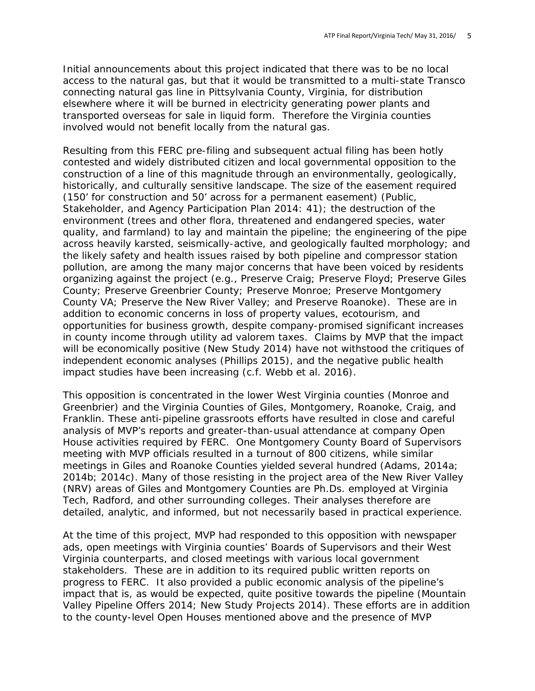Initial announcements about this project indicated that there was to be no local access to the natural gas, but that it would be transmitted to a multi-state Transco connecting natural gas line in Pittsylvania County, Virginia, for distribution elsewhere where it will be burned in electricity generating power plants and transported overseas for sale in liquid form. Therefore the Virginia counties involved would not benefit locally from the natural gas.

Resulting from this FERC pre-filing and subsequent actual filing has been hotly contested and widely distributed citizen and local governmental opposition to the construction of a line of this magnitude through an environmentally, geologically, historically, and culturally sensitive landscape. The size of the easement required (150' for construction and 50' across for a permanent easement) (Public, Stakeholder, and Agency Participation Plan 2014: 41); the destruction of the environment (trees and other flora, threatened and endangered species, water quality, and farmland) to lay and maintain the pipeline; the engineering of the pipe across heavily karsted, seismically-active, and geologically faulted morphology; and the likely safety and health issues raised by both pipeline and compressor station pollution, are among the many major concerns that have been voiced by residents organizing against the project (e.g., Preserve Craig; Preserve Floyd; Preserve Giles County; Preserve Greenbrier County; Preserve Monroe; Preserve Montgomery County VA; Preserve the New River Valley; and Preserve Roanoke). These are in addition to economic concerns in loss of property values, ecotourism, and opportunities for business growth, despite company-promised significant increases in county income through utility ad valorem taxes. Claims by MVP that the impact will be economically positive (New Study 2014) have not withstood the critiques of independent economic analyses (Phillips 2015), and the negative public health impact studies have been increasing (c.f. Webb et al. 2016).

This opposition is concentrated in the lower West Virginia counties (Monroe and Greenbrier) and the Virginia Counties of Giles, Montgomery, Roanoke, Craig, and Franklin. These anti-pipeline grassroots efforts have resulted in close and careful analysis of MVP's reports and greater-than-usual attendance at company Open House activities required by FERC. One Montgomery County Board of Supervisors meeting with MVP officials resulted in a turnout of 800 citizens, while similar meetings in Giles and Roanoke Counties yielded several hundred (Adams, 2014a; 2014b; 2014c). Many of those resisting in the project area of the New River Valley (NRV) areas of Giles and Montgomery Counties are Ph.Ds. employed at Virginia Tech, Radford, and other surrounding colleges. Their analyses therefore are detailed, analytic, and informed, but not necessarily based in practical experience.

At the time of this project, MVP had responded to this opposition with newspaper ads, open meetings with Virginia counties' Boards of Supervisors and their West Virginia counterparts, and closed meetings with various local government stakeholders. These are in addition to its required public written reports on progress to FERC. It also provided a public economic analysis of the pipeline's impact that is, as would be expected, quite positive towards the pipeline (Mountain Valley Pipeline Offers 2014; New Study Projects 2014). These efforts are in addition to the county-level Open Houses mentioned above and the presence of MVP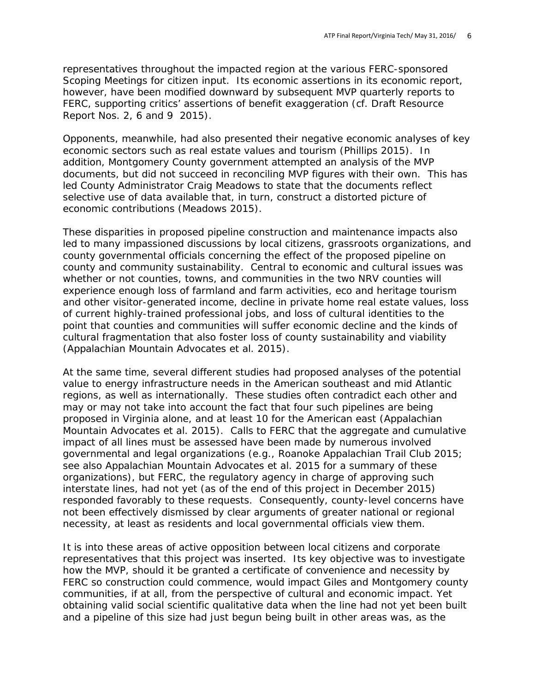representatives throughout the impacted region at the various FERC-sponsored Scoping Meetings for citizen input. Its economic assertions in its economic report, however, have been modified downward by subsequent MVP quarterly reports to FERC, supporting critics' assertions of benefit exaggeration (cf. Draft Resource Report Nos. 2, 6 and 9 2015).

Opponents, meanwhile, had also presented their negative economic analyses of key economic sectors such as real estate values and tourism (Phillips 2015). In addition, Montgomery County government attempted an analysis of the MVP documents, but did not succeed in reconciling MVP figures with their own. This has led County Administrator Craig Meadows to state that the documents reflect selective use of data available that, in turn, construct a distorted picture of economic contributions (Meadows 2015).

These disparities in proposed pipeline construction and maintenance impacts also led to many impassioned discussions by local citizens, grassroots organizations, and county governmental officials concerning the effect of the proposed pipeline on county and community sustainability. Central to economic and cultural issues was whether or not counties, towns, and communities in the two NRV counties will experience enough loss of farmland and farm activities, eco and heritage tourism and other visitor-generated income, decline in private home real estate values, loss of current highly-trained professional jobs, and loss of cultural identities to the point that counties and communities will suffer economic decline and the kinds of cultural fragmentation that also foster loss of county sustainability and viability (Appalachian Mountain Advocates et al. 2015).

At the same time, several different studies had proposed analyses of the potential value to energy infrastructure needs in the American southeast and mid Atlantic regions, as well as internationally. These studies often contradict each other and may or may not take into account the fact that four such pipelines are being proposed in Virginia alone, and at least 10 for the American east (Appalachian Mountain Advocates et al. 2015). Calls to FERC that the aggregate and cumulative impact of all lines must be assessed have been made by numerous involved governmental and legal organizations (e.g., Roanoke Appalachian Trail Club 2015; see also Appalachian Mountain Advocates et al. 2015 for a summary of these organizations), but FERC, the regulatory agency in charge of approving such interstate lines, had not yet (as of the end of this project in December 2015) responded favorably to these requests. Consequently, county-level concerns have not been effectively dismissed by clear arguments of greater national or regional necessity, at least as residents and local governmental officials view them.

It is into these areas of active opposition between local citizens and corporate representatives that this project was inserted. Its key objective was to investigate how the MVP, should it be granted a certificate of convenience and necessity by FERC so construction could commence, would impact Giles and Montgomery county communities, if at all, from the perspective of cultural and economic impact. Yet obtaining valid social scientific qualitative data when the line had not yet been built and a pipeline of this size had just begun being built in other areas was, as the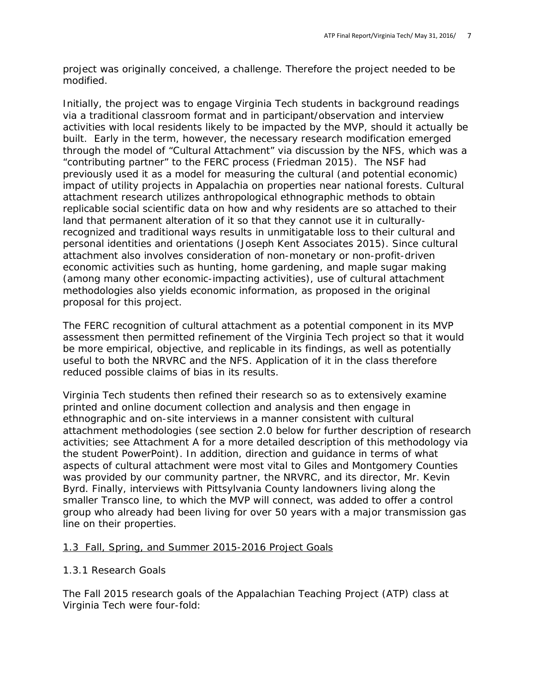project was originally conceived, a challenge. Therefore the project needed to be modified.

Initially, the project was to engage Virginia Tech students in background readings via a traditional classroom format and in participant/observation and interview activities with local residents likely to be impacted by the MVP, should it actually be built. Early in the term, however, the necessary research modification emerged through the model of "Cultural Attachment" via discussion by the NFS, which was a "contributing partner" to the FERC process (Friedman 2015). The NSF had previously used it as a model for measuring the cultural (and potential economic) impact of utility projects in Appalachia on properties near national forests. Cultural attachment research utilizes anthropological ethnographic methods to obtain replicable social scientific data on how and why residents are so attached to their land that permanent alteration of it so that they cannot use it in culturallyrecognized and traditional ways results in unmitigatable loss to their cultural and personal identities and orientations (Joseph Kent Associates 2015). Since cultural attachment also involves consideration of non-monetary or non-profit-driven economic activities such as hunting, home gardening, and maple sugar making (among many other economic-impacting activities), use of cultural attachment methodologies also yields economic information, as proposed in the original proposal for this project.

The FERC recognition of cultural attachment as a potential component in its MVP assessment then permitted refinement of the Virginia Tech project so that it would be more empirical, objective, and replicable in its findings, as well as potentially useful to both the NRVRC and the NFS. Application of it in the class therefore reduced possible claims of bias in its results.

Virginia Tech students then refined their research so as to extensively examine printed and online document collection and analysis and then engage in ethnographic and on-site interviews in a manner consistent with cultural attachment methodologies (see section 2.0 below for further description of research activities; see Attachment A for a more detailed description of this methodology via the student PowerPoint). In addition, direction and guidance in terms of what aspects of cultural attachment were most vital to Giles and Montgomery Counties was provided by our community partner, the NRVRC, and its director, Mr. Kevin Byrd. Finally, interviews with Pittsylvania County landowners living along the smaller Transco line, to which the MVP will connect, was added to offer a control group who already had been living for over 50 years with a major transmission gas line on their properties.

### 1.3 Fall, Spring, and Summer 2015-2016 Project Goals

#### *1.3.1 Research Goals*

The Fall 2015 research goals of the Appalachian Teaching Project (ATP) class at Virginia Tech were four-fold: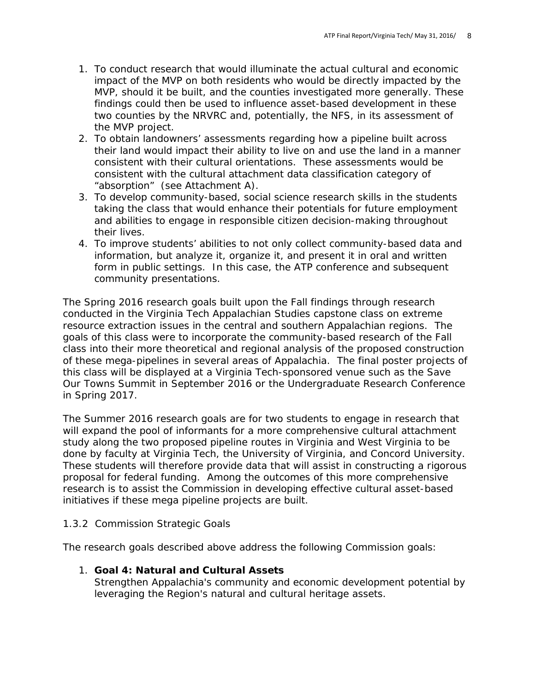- 1. To conduct research that would illuminate the actual cultural and economic impact of the MVP on both residents who would be directly impacted by the MVP, should it be built, and the counties investigated more generally. These findings could then be used to influence asset-based development in these two counties by the NRVRC and, potentially, the NFS, in its assessment of the MVP project.
- 2. To obtain landowners' assessments regarding how a pipeline built across their land would impact their ability to live on and use the land in a manner consistent with their cultural orientations. These assessments would be consistent with the cultural attachment data classification category of "absorption" (see Attachment A).
- 3. To develop community-based, social science research skills in the students taking the class that would enhance their potentials for future employment and abilities to engage in responsible citizen decision-making throughout their lives.
- 4. To improve students' abilities to not only collect community-based data and information, but analyze it, organize it, and present it in oral and written form in public settings. In this case, the ATP conference and subsequent community presentations.

The Spring 2016 research goals built upon the Fall findings through research conducted in the Virginia Tech Appalachian Studies capstone class on extreme resource extraction issues in the central and southern Appalachian regions. The goals of this class were to incorporate the community-based research of the Fall class into their more theoretical and regional analysis of the proposed construction of these mega-pipelines in several areas of Appalachia. The final poster projects of this class will be displayed at a Virginia Tech-sponsored venue such as the Save Our Towns Summit in September 2016 or the Undergraduate Research Conference in Spring 2017.

The Summer 2016 research goals are for two students to engage in research that will expand the pool of informants for a more comprehensive cultural attachment study along the two proposed pipeline routes in Virginia and West Virginia to be done by faculty at Virginia Tech, the University of Virginia, and Concord University. These students will therefore provide data that will assist in constructing a rigorous proposal for federal funding. Among the outcomes of this more comprehensive research is to assist the Commission in developing effective cultural asset-based initiatives if these mega pipeline projects are built.

### *1.3.2 Commission Strategic Goals*

The research goals described above address the following Commission goals:

### 1. **Goal 4: Natural and Cultural Assets**

Strengthen Appalachia's community and economic development potential by leveraging the Region's natural and cultural heritage assets.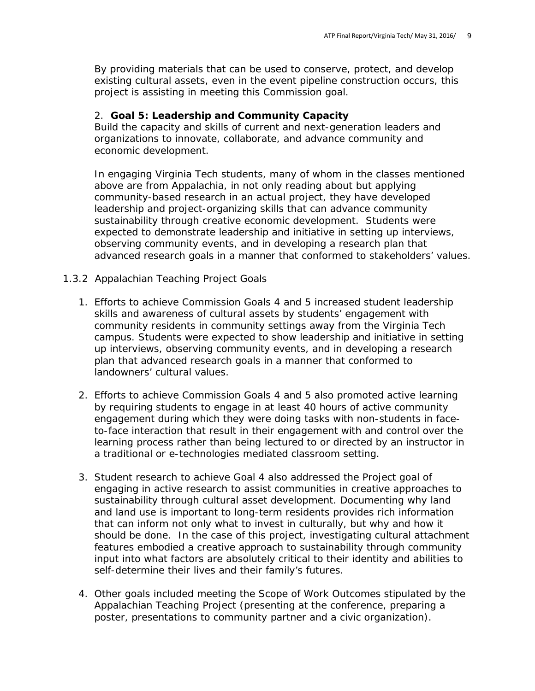By providing materials that can be used to conserve, protect, and develop existing cultural assets, even in the event pipeline construction occurs, this project is assisting in meeting this Commission goal.

## 2. **Goal 5: Leadership and Community Capacity**

Build the capacity and skills of current and next-generation leaders and organizations to innovate, collaborate, and advance community and economic development.

In engaging Virginia Tech students, many of whom in the classes mentioned above are from Appalachia, in not only reading about but applying community-based research in an actual project, they have developed leadership and project-organizing skills that can advance community sustainability through creative economic development. Students were expected to demonstrate leadership and initiative in setting up interviews, observing community events, and in developing a research plan that advanced research goals in a manner that conformed to stakeholders' values.

#### *1.3.2 Appalachian Teaching Project Goals*

- 1. Efforts to achieve Commission Goals 4 and 5 increased student leadership skills and awareness of cultural assets by students' engagement with community residents in community settings away from the Virginia Tech campus. Students were expected to show leadership and initiative in setting up interviews, observing community events, and in developing a research plan that advanced research goals in a manner that conformed to landowners' cultural values.
- 2. Efforts to achieve Commission Goals 4 and 5 also promoted active learning by requiring students to engage in at least 40 hours of active community engagement during which they were *doing* tasks with non-students in faceto-face interaction that result in their engagement with and control over the learning process rather than being lectured to or directed by an instructor in a traditional or e-technologies mediated classroom setting.
- 3. Student research to achieve Goal 4 also addressed the Project goal of engaging in active research to assist communities in creative approaches to sustainability through cultural asset development. Documenting why land and land use is important to long-term residents provides rich information that can inform not only what to invest in culturally, but why and how it should be done. In the case of this project, investigating cultural attachment features embodied a creative approach to sustainability through community input into what factors are absolutely critical to their identity and abilities to self-determine their lives and their family's futures.
- 4. Other goals included meeting the Scope of Work Outcomes stipulated by the Appalachian Teaching Project (presenting at the conference, preparing a poster, presentations to community partner and a civic organization).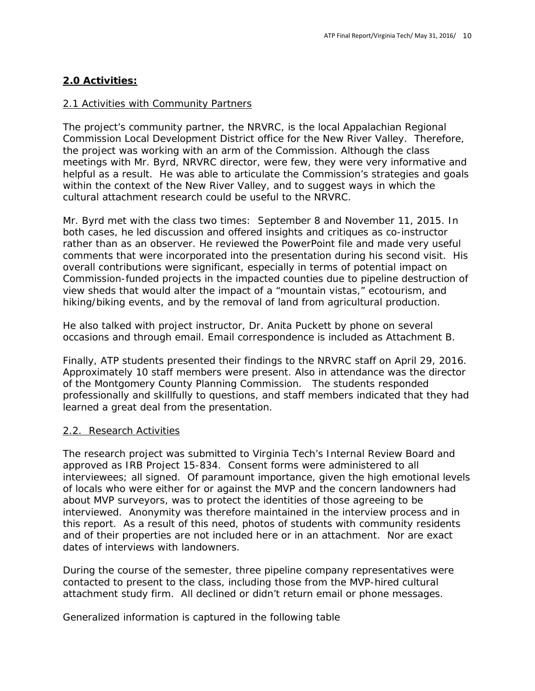# **2.0 Activities:**

## 2.1 Activities with Community Partners

The project's community partner, the NRVRC, is the local Appalachian Regional Commission Local Development District office for the New River Valley. Therefore, the project was working with an arm of the Commission. Although the class meetings with Mr. Byrd, NRVRC director, were few, they were very informative and helpful as a result. He was able to articulate the Commission's strategies and goals within the context of the New River Valley, and to suggest ways in which the cultural attachment research could be useful to the NRVRC.

Mr. Byrd met with the class two times: September 8 and November 11, 2015. In both cases, he led discussion and offered insights and critiques as co-instructor rather than as an observer. He reviewed the PowerPoint file and made very useful comments that were incorporated into the presentation during his second visit. His overall contributions were significant, especially in terms of potential impact on Commission-funded projects in the impacted counties due to pipeline destruction of view sheds that would alter the impact of a "mountain vistas," ecotourism, and hiking/biking events, and by the removal of land from agricultural production.

He also talked with project instructor, Dr. Anita Puckett by phone on several occasions and through email. Email correspondence is included as Attachment B.

Finally, ATP students presented their findings to the NRVRC staff on April 29, 2016. Approximately 10 staff members were present. Also in attendance was the director of the Montgomery County Planning Commission. The students responded professionally and skillfully to questions, and staff members indicated that they had learned a great deal from the presentation.

### 2.2. Research Activities

The research project was submitted to Virginia Tech's Internal Review Board and approved as IRB Project 15-834. Consent forms were administered to all interviewees; all signed. Of paramount importance, given the high emotional levels of locals who were either for or against the MVP and the concern landowners had about MVP surveyors, was to protect the identities of those agreeing to be interviewed. Anonymity was therefore maintained in the interview process and in this report. As a result of this need, photos of students with community residents and of their properties are not included here or in an attachment. Nor are exact dates of interviews with landowners.

During the course of the semester, three pipeline company representatives were contacted to present to the class, including those from the MVP-hired cultural attachment study firm. All declined or didn't return email or phone messages.

Generalized information is captured in the following table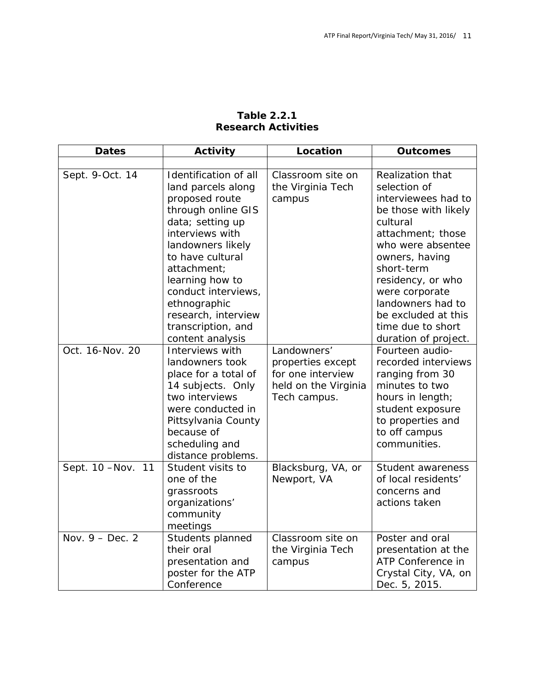| <b>Dates</b>       | Activity                                                                                                                                                                                                                                                                                  | Location                                                                                      | <b>Outcomes</b>                                                                                                                                                                                                                                                               |
|--------------------|-------------------------------------------------------------------------------------------------------------------------------------------------------------------------------------------------------------------------------------------------------------------------------------------|-----------------------------------------------------------------------------------------------|-------------------------------------------------------------------------------------------------------------------------------------------------------------------------------------------------------------------------------------------------------------------------------|
|                    |                                                                                                                                                                                                                                                                                           |                                                                                               |                                                                                                                                                                                                                                                                               |
| Sept. 9-Oct. 14    | Identification of all<br>land parcels along<br>proposed route<br>through online GIS<br>data; setting up<br>interviews with<br>landowners likely<br>to have cultural<br>attachment;<br>learning how to<br>conduct interviews,<br>ethnographic<br>research, interview<br>transcription, and | Classroom site on<br>the Virginia Tech<br>campus                                              | Realization that<br>selection of<br>interviewees had to<br>be those with likely<br>cultural<br>attachment; those<br>who were absentee<br>owners, having<br>short-term<br>residency, or who<br>were corporate<br>landowners had to<br>be excluded at this<br>time due to short |
| Oct. 16-Nov. 20    | content analysis<br>Interviews with<br>landowners took<br>place for a total of<br>14 subjects. Only<br>two interviews<br>were conducted in<br>Pittsylvania County<br>because of<br>scheduling and<br>distance problems.                                                                   | Landowners'<br>properties except<br>for one interview<br>held on the Virginia<br>Tech campus. | duration of project.<br>Fourteen audio-<br>recorded interviews<br>ranging from 30<br>minutes to two<br>hours in length;<br>student exposure<br>to properties and<br>to off campus<br>communities.                                                                             |
| Sept. 10 - Nov. 11 | Student visits to<br>one of the<br>grassroots<br>organizations'<br>community<br>meetings                                                                                                                                                                                                  | Blacksburg, VA, or<br>Newport, VA                                                             | Student awareness<br>of local residents'<br>concerns and<br>actions taken                                                                                                                                                                                                     |
| Nov. $9 - Dec. 2$  | Students planned<br>their oral<br>presentation and<br>poster for the ATP<br>Conference                                                                                                                                                                                                    | Classroom site on<br>the Virginia Tech<br>campus                                              | Poster and oral<br>presentation at the<br>ATP Conference in<br>Crystal City, VA, on<br>Dec. 5, 2015.                                                                                                                                                                          |

## **Table 2.2.1 Research Activities**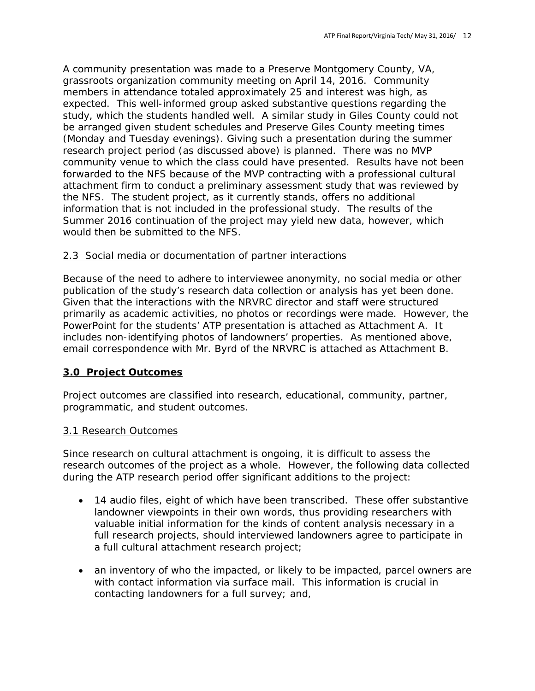A community presentation was made to a Preserve Montgomery County, VA, grassroots organization community meeting on April 14, 2016. Community members in attendance totaled approximately 25 and interest was high, as expected. This well-informed group asked substantive questions regarding the study, which the students handled well. A similar study in Giles County could not be arranged given student schedules and Preserve Giles County meeting times (Monday and Tuesday evenings). Giving such a presentation during the summer research project period (as discussed above) is planned. There was no MVP community venue to which the class could have presented. Results have not been forwarded to the NFS because of the MVP contracting with a professional cultural attachment firm to conduct a preliminary assessment study that was reviewed by the NFS. The student project, as it currently stands, offers no additional information that is not included in the professional study. The results of the Summer 2016 continuation of the project may yield new data, however, which would then be submitted to the NFS.

### 2.3 Social media or documentation of partner interactions

Because of the need to adhere to interviewee anonymity, no social media or other publication of the study's research data collection or analysis has yet been done. Given that the interactions with the NRVRC director and staff were structured primarily as academic activities, no photos or recordings were made. However, the PowerPoint for the students' ATP presentation is attached as Attachment A. It includes non-identifying photos of landowners' properties. As mentioned above, email correspondence with Mr. Byrd of the NRVRC is attached as Attachment B.

### **3.0 Project Outcomes**

Project outcomes are classified into research, educational, community, partner, programmatic, and student outcomes.

### 3.1 Research Outcomes

Since research on cultural attachment is ongoing, it is difficult to assess the research outcomes of the project as a whole. However, the following data collected during the ATP research period offer significant additions to the project:

- 14 audio files, eight of which have been transcribed. These offer substantive landowner viewpoints in their own words, thus providing researchers with valuable initial information for the kinds of content analysis necessary in a full research projects, should interviewed landowners agree to participate in a full cultural attachment research project;
- an inventory of who the impacted, or likely to be impacted, parcel owners are with contact information via surface mail. This information is crucial in contacting landowners for a full survey; and,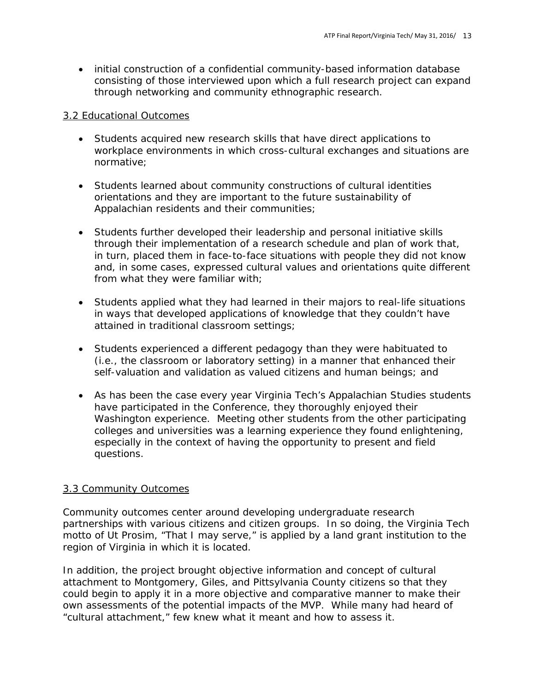• initial construction of a confidential community-based information database consisting of those interviewed upon which a full research project can expand through networking and community ethnographic research.

#### 3.2 Educational Outcomes

- Students acquired new research skills that have direct applications to workplace environments in which cross-cultural exchanges and situations are normative;
- Students learned about community constructions of cultural identities orientations and they are important to the future sustainability of Appalachian residents and their communities;
- Students further developed their leadership and personal initiative skills through their implementation of a research schedule and plan of work that, in turn, placed them in face-to-face situations with people they did not know and, in some cases, expressed cultural values and orientations quite different from what they were familiar with;
- Students applied what they had learned in their majors to real-life situations in ways that developed applications of knowledge that they couldn't have attained in traditional classroom settings;
- Students experienced a different pedagogy than they were habituated to (i.e., the classroom or laboratory setting) in a manner that enhanced their self-valuation and validation as valued citizens and human beings; and
- As has been the case every year Virginia Tech's Appalachian Studies students have participated in the Conference, they thoroughly enjoyed their Washington experience. Meeting other students from the other participating colleges and universities was a learning experience they found enlightening, especially in the context of having the opportunity to present and field questions.

### 3.3 Community Outcomes

Community outcomes center around developing undergraduate research partnerships with various citizens and citizen groups. In so doing, the Virginia Tech motto of Ut Prosim, "That I may serve," is applied by a land grant institution to the region of Virginia in which it is located.

In addition, the project brought objective information and concept of cultural attachment to Montgomery, Giles, and Pittsylvania County citizens so that they could begin to apply it in a more objective and comparative manner to make their own assessments of the potential impacts of the MVP. While many had heard of "cultural attachment," few knew what it meant and how to assess it.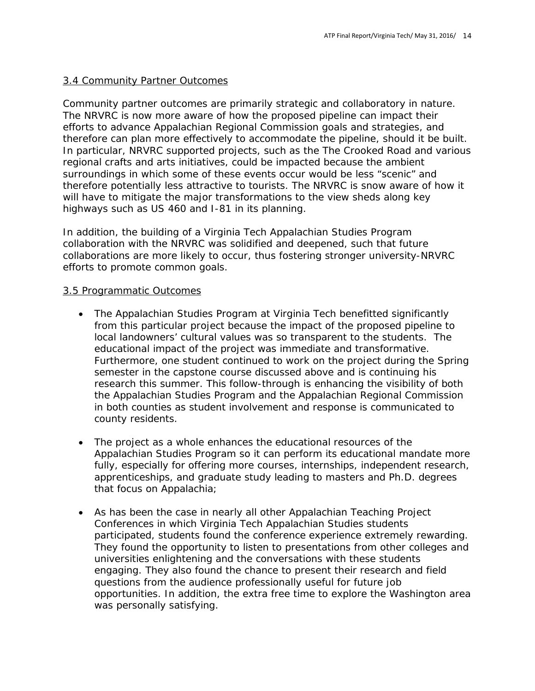## 3.4 Community Partner Outcomes

Community partner outcomes are primarily strategic and collaboratory in nature. The NRVRC is now more aware of how the proposed pipeline can impact their efforts to advance Appalachian Regional Commission goals and strategies, and therefore can plan more effectively to accommodate the pipeline, should it be built. In particular, NRVRC supported projects, such as the The Crooked Road and various regional crafts and arts initiatives, could be impacted because the ambient surroundings in which some of these events occur would be less "scenic" and therefore potentially less attractive to tourists. The NRVRC is snow aware of how it will have to mitigate the major transformations to the view sheds along key highways such as US 460 and I-81 in its planning.

In addition, the building of a Virginia Tech Appalachian Studies Program collaboration with the NRVRC was solidified and deepened, such that future collaborations are more likely to occur, thus fostering stronger university-NRVRC efforts to promote common goals.

#### 3.5 Programmatic Outcomes

- The Appalachian Studies Program at Virginia Tech benefitted significantly from this particular project because the impact of the proposed pipeline to local landowners' cultural values was so transparent to the students. The educational impact of the project was immediate and transformative. Furthermore, one student continued to work on the project during the Spring semester in the capstone course discussed above and is continuing his research this summer. This follow-through is enhancing the visibility of both the Appalachian Studies Program and the Appalachian Regional Commission in both counties as student involvement and response is communicated to county residents.
- The project as a whole enhances the educational resources of the Appalachian Studies Program so it can perform its educational mandate more fully, especially for offering more courses, internships, independent research, apprenticeships, and graduate study leading to masters and Ph.D. degrees that focus on Appalachia;
- As has been the case in nearly all other Appalachian Teaching Project Conferences in which Virginia Tech Appalachian Studies students participated, students found the conference experience extremely rewarding. They found the opportunity to listen to presentations from other colleges and universities enlightening and the conversations with these students engaging. They also found the chance to present their research and field questions from the audience professionally useful for future job opportunities. In addition, the extra free time to explore the Washington area was personally satisfying.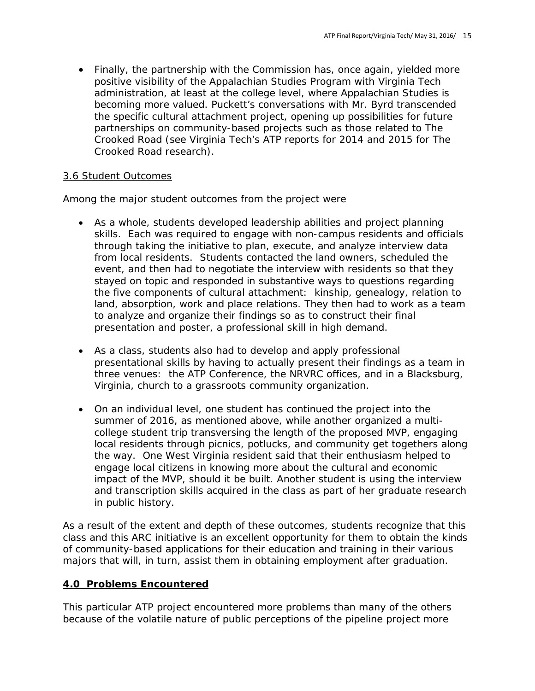• Finally, the partnership with the Commission has, once again, yielded more positive visibility of the Appalachian Studies Program with Virginia Tech administration, at least at the college level, where Appalachian Studies is becoming more valued. Puckett's conversations with Mr. Byrd transcended the specific cultural attachment project, opening up possibilities for future partnerships on community-based projects such as those related to The Crooked Road (see Virginia Tech's ATP reports for 2014 and 2015 for The Crooked Road research).

### 3.6 Student Outcomes

Among the major student outcomes from the project were

- As a whole, students developed leadership abilities and project planning skills. Each was required to engage with non-campus residents and officials through taking the initiative to plan, execute, and analyze interview data from local residents. Students contacted the land owners, scheduled the event, and then had to negotiate the interview with residents so that they stayed on topic and responded in substantive ways to questions regarding the five components of cultural attachment: kinship, genealogy, relation to land, absorption, work and place relations. They then had to work as a team to analyze and organize their findings so as to construct their final presentation and poster, a professional skill in high demand.
- As a class, students also had to develop and apply professional presentational skills by having to actually present their findings as a team in three venues: the ATP Conference, the NRVRC offices, and in a Blacksburg, Virginia, church to a grassroots community organization.
- On an individual level, one student has continued the project into the summer of 2016, as mentioned above, while another organized a multicollege student trip transversing the length of the proposed MVP, engaging local residents through picnics, potlucks, and community get togethers along the way. One West Virginia resident said that their enthusiasm helped to engage local citizens in knowing more about the cultural and economic impact of the MVP, should it be built. Another student is using the interview and transcription skills acquired in the class as part of her graduate research in public history.

As a result of the extent and depth of these outcomes, students recognize that this class and this ARC initiative is an excellent opportunity for them to obtain the kinds of community-based applications for their education and training in their various majors that will, in turn, assist them in obtaining employment after graduation.

### **4.0 Problems Encountered**

This particular ATP project encountered more problems than many of the others because of the volatile nature of public perceptions of the pipeline project more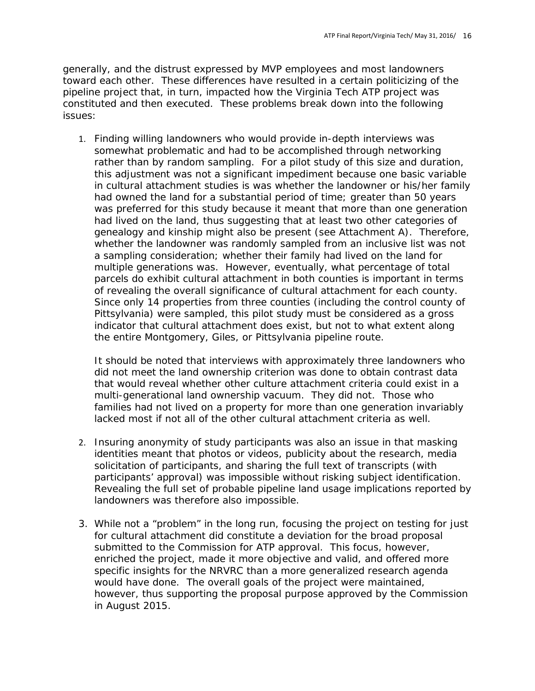generally, and the distrust expressed by MVP employees and most landowners toward each other. These differences have resulted in a certain politicizing of the pipeline project that, in turn, impacted how the Virginia Tech ATP project was constituted and then executed. These problems break down into the following issues:

1. Finding willing landowners who would provide in-depth interviews was somewhat problematic and had to be accomplished through networking rather than by random sampling. For a pilot study of this size and duration, this adjustment was not a significant impediment because one basic variable in cultural attachment studies is was whether the landowner or his/her family had owned the land for a substantial period of time; greater than 50 years was preferred for this study because it meant that more than one generation had lived on the land, thus suggesting that at least two other categories of genealogy and kinship might also be present (see Attachment A). Therefore, whether the landowner was randomly sampled from an inclusive list was not a sampling consideration; whether their family had lived on the land for multiple generations was. However, eventually, what percentage of total parcels do exhibit cultural attachment in both counties is important in terms of revealing the overall significance of cultural attachment for each county. Since only 14 properties from three counties (including the control county of Pittsylvania) were sampled, this pilot study must be considered as a gross indicator that cultural attachment does exist, but not to what extent along the entire Montgomery, Giles, or Pittsylvania pipeline route.

It should be noted that interviews with approximately three landowners who did not meet the land ownership criterion was done to obtain contrast data that would reveal whether other culture attachment criteria could exist in a multi-generational land ownership vacuum. They did not. Those who families had not lived on a property for more than one generation invariably lacked most if not all of the other cultural attachment criteria as well.

- 2. Insuring anonymity of study participants was also an issue in that masking identities meant that photos or videos, publicity about the research, media solicitation of participants, and sharing the full text of transcripts (with participants' approval) was impossible without risking subject identification. Revealing the full set of probable pipeline land usage implications reported by landowners was therefore also impossible.
- 3. While not a "problem" in the long run, focusing the project on testing for just for cultural attachment did constitute a deviation for the broad proposal submitted to the Commission for ATP approval. This focus, however, enriched the project, made it more objective and valid, and offered more specific insights for the NRVRC than a more generalized research agenda would have done. The overall goals of the project were maintained, however, thus supporting the proposal purpose approved by the Commission in August 2015.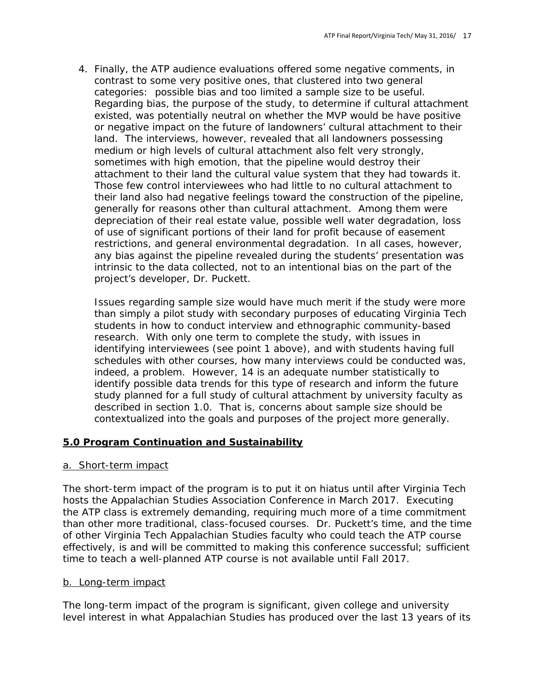4. Finally, the ATP audience evaluations offered some negative comments, in contrast to some very positive ones, that clustered into two general categories: possible bias and too limited a sample size to be useful. Regarding bias, the purpose of the study, to determine if cultural attachment existed, was potentially neutral on whether the MVP would be have positive or negative impact on the future of landowners' cultural attachment to their land. The interviews, however, revealed that all landowners possessing medium or high levels of cultural attachment also felt very strongly, sometimes with high emotion, that the pipeline would destroy their attachment to their land the cultural value system that they had towards it. Those few control interviewees who had little to no cultural attachment to their land also had negative feelings toward the construction of the pipeline, generally for reasons other than cultural attachment. Among them were depreciation of their real estate value, possible well water degradation, loss of use of significant portions of their land for profit because of easement restrictions, and general environmental degradation. In all cases, however, any bias against the pipeline revealed during the students' presentation was intrinsic to the data collected, not to an intentional bias on the part of the project's developer, Dr. Puckett.

Issues regarding sample size would have much merit if the study were more than simply a pilot study with secondary purposes of educating Virginia Tech students in how to conduct interview and ethnographic community-based research. With only one term to complete the study, with issues in identifying interviewees (see point 1 above), and with students having full schedules with other courses, how many interviews could be conducted was, indeed, a problem. However, 14 is an adequate number statistically to identify possible data trends for this type of research and inform the future study planned for a full study of cultural attachment by university faculty as described in section 1.0. That is, concerns about sample size should be contextualized into the goals and purposes of the project more generally.

### **5.0 Program Continuation and Sustainability**

### a. Short-term impact

The short-term impact of the program is to put it on hiatus until after Virginia Tech hosts the Appalachian Studies Association Conference in March 2017. Executing the ATP class is extremely demanding, requiring much more of a time commitment than other more traditional, class-focused courses. Dr. Puckett's time, and the time of other Virginia Tech Appalachian Studies faculty who could teach the ATP course effectively, is and will be committed to making this conference successful; sufficient time to teach a well-planned ATP course is not available until Fall 2017.

#### b. Long-term impact

The long-term impact of the program is significant, given college and university level interest in what Appalachian Studies has produced over the last 13 years of its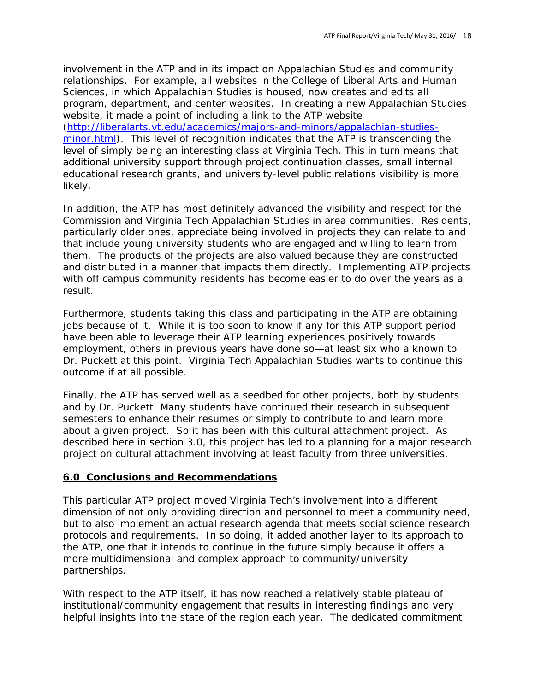involvement in the ATP and in its impact on Appalachian Studies and community relationships. For example, all websites in the College of Liberal Arts and Human Sciences, in which Appalachian Studies is housed, now creates and edits all program, department, and center websites. In creating a new Appalachian Studies website, it made a point of including a link to the ATP website

[\(http://liberalarts.vt.edu/academics/majors-and-minors/appalachian-studies](http://liberalarts.vt.edu/academics/majors-and-minors/appalachian-studies-minor.html)[minor.html\)](http://liberalarts.vt.edu/academics/majors-and-minors/appalachian-studies-minor.html). This level of recognition indicates that the ATP is transcending the level of simply being an interesting class at Virginia Tech. This in turn means that additional university support through project continuation classes, small internal educational research grants, and university-level public relations visibility is more likely.

In addition, the ATP has most definitely advanced the visibility and respect for the Commission and Virginia Tech Appalachian Studies in area communities. Residents, particularly older ones, appreciate being involved in projects they can relate to and that include young university students who are engaged and willing to learn from them. The products of the projects are also valued because they are constructed and distributed in a manner that impacts them directly. Implementing ATP projects with off campus community residents has become easier to do over the years as a result.

Furthermore, students taking this class and participating in the ATP are obtaining jobs because of it. While it is too soon to know if any for this ATP support period have been able to leverage their ATP learning experiences positively towards employment, others in previous years have done so—at least six who a known to Dr. Puckett at this point. Virginia Tech Appalachian Studies wants to continue this outcome if at all possible.

Finally, the ATP has served well as a seedbed for other projects, both by students and by Dr. Puckett. Many students have continued their research in subsequent semesters to enhance their resumes or simply to contribute to and learn more about a given project. So it has been with this cultural attachment project. As described here in section 3.0, this project has led to a planning for a major research project on cultural attachment involving at least faculty from three universities.

### **6.0 Conclusions and Recommendations**

This particular ATP project moved Virginia Tech's involvement into a different dimension of not only providing direction and personnel to meet a community need, but to also implement an actual research agenda that meets social science research protocols and requirements. In so doing, it added another layer to its approach to the ATP, one that it intends to continue in the future simply because it offers a more multidimensional and complex approach to community/university partnerships.

With respect to the ATP itself, it has now reached a relatively stable plateau of institutional/community engagement that results in interesting findings and very helpful insights into the state of the region each year. The dedicated commitment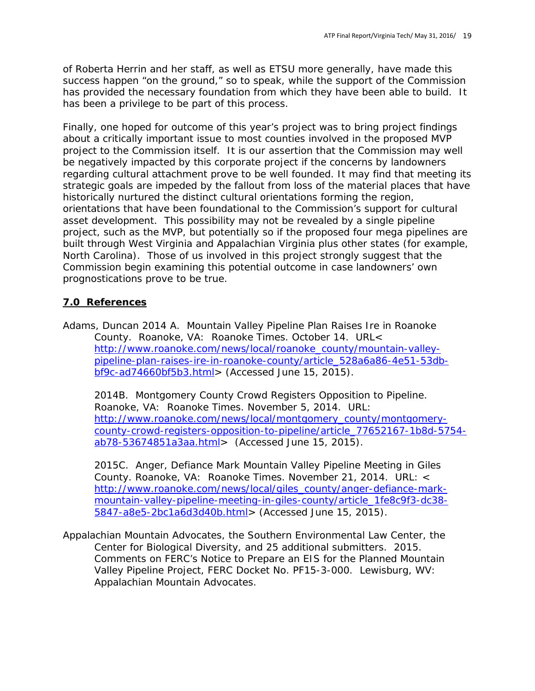of Roberta Herrin and her staff, as well as ETSU more generally, have made this success happen "on the ground," so to speak, while the support of the Commission has provided the necessary foundation from which they have been able to build. It has been a privilege to be part of this process.

Finally, one hoped for outcome of this year's project was to bring project findings about a critically important issue to most counties involved in the proposed MVP project to the Commission itself. It is our assertion that the Commission may well be negatively impacted by this corporate project if the concerns by landowners regarding cultural attachment prove to be well founded. It may find that meeting its strategic goals are impeded by the fallout from loss of the material places that have historically nurtured the distinct cultural orientations forming the region, orientations that have been foundational to the Commission's support for cultural asset development. This possibility may not be revealed by a single pipeline project, such as the MVP, but potentially so if the proposed four mega pipelines are built through West Virginia and Appalachian Virginia plus other states (for example, North Carolina). Those of us involved in this project strongly suggest that the Commission begin examining this potential outcome in case landowners' own prognostications prove to be true.

# **7.0 References**

Adams, Duncan 2014 A. Mountain Valley Pipeline Plan Raises Ire in Roanoke County. Roanoke, VA: *Roanoke Times*. October 14. URL< [http://www.roanoke.com/news/local/roanoke\\_county/mountain-valley](http://www.roanoke.com/news/local/roanoke_county/mountain-valley-pipeline-plan-raises-ire-in-roanoke-county/article_528a6a86-4e51-53db-bf9c-ad74660bf5b3.html)[pipeline-plan-raises-ire-in-roanoke-county/article\\_528a6a86-4e51-53db](http://www.roanoke.com/news/local/roanoke_county/mountain-valley-pipeline-plan-raises-ire-in-roanoke-county/article_528a6a86-4e51-53db-bf9c-ad74660bf5b3.html)[bf9c-ad74660bf5b3.html>](http://www.roanoke.com/news/local/roanoke_county/mountain-valley-pipeline-plan-raises-ire-in-roanoke-county/article_528a6a86-4e51-53db-bf9c-ad74660bf5b3.html) (Accessed June 15, 2015).

2014B. Montgomery County Crowd Registers Opposition to Pipeline. Roanoke, VA: *Roanoke Times*. November 5, 2014. URL: [http://www.roanoke.com/news/local/montgomery\\_county/montgomery](http://www.roanoke.com/news/local/montgomery_county/montgomery-county-crowd-registers-opposition-to-pipeline/article_77652167-1b8d-5754-ab78-53674851a3aa.html)[county-crowd-registers-opposition-to-pipeline/article\\_77652167-1b8d-5754](http://www.roanoke.com/news/local/montgomery_county/montgomery-county-crowd-registers-opposition-to-pipeline/article_77652167-1b8d-5754-ab78-53674851a3aa.html) [ab78-53674851a3aa.html>](http://www.roanoke.com/news/local/montgomery_county/montgomery-county-crowd-registers-opposition-to-pipeline/article_77652167-1b8d-5754-ab78-53674851a3aa.html) (Accessed June 15, 2015).

2015C. Anger, Defiance Mark Mountain Valley Pipeline Meeting in Giles County. Roanoke, VA: *Roanoke Times.* November 21, 2014. URL: < [http://www.roanoke.com/news/local/giles\\_county/anger-defiance-mark](http://www.roanoke.com/news/local/giles_county/anger-defiance-mark-mountain-valley-pipeline-meeting-in-giles-county/article_1fe8c9f3-dc38-5847-a8e5-2bc1a6d3d40b.html)[mountain-valley-pipeline-meeting-in-giles-county/article\\_1fe8c9f3-dc38-](http://www.roanoke.com/news/local/giles_county/anger-defiance-mark-mountain-valley-pipeline-meeting-in-giles-county/article_1fe8c9f3-dc38-5847-a8e5-2bc1a6d3d40b.html) [5847-a8e5-2bc1a6d3d40b.html>](http://www.roanoke.com/news/local/giles_county/anger-defiance-mark-mountain-valley-pipeline-meeting-in-giles-county/article_1fe8c9f3-dc38-5847-a8e5-2bc1a6d3d40b.html) (Accessed June 15, 2015).

Appalachian Mountain Advocates, the Southern Environmental Law Center, the Center for Biological Diversity, and 25 additional submitters. 2015. Comments on FERC's Notice to Prepare an EIS for the Planned Mountain Valley Pipeline Project, FERC Docket No. PF15-3-000. Lewisburg, WV: Appalachian Mountain Advocates.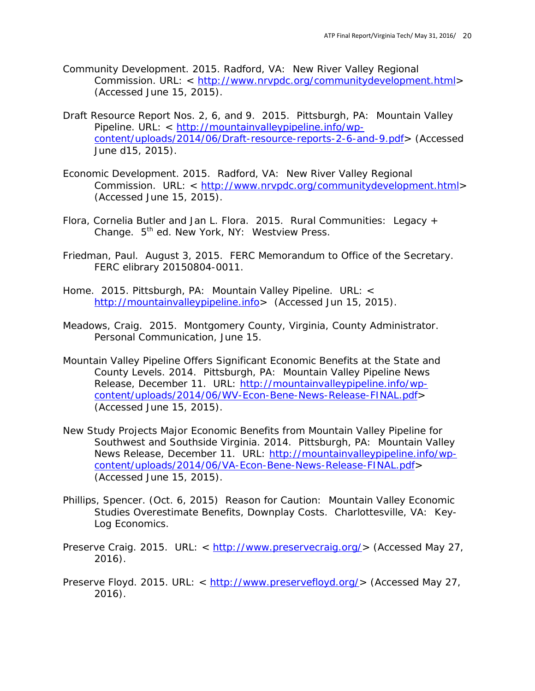- Community Development. 2015. Radford, VA: New River Valley Regional Commission. URL: < [http://www.nrvpdc.org/communitydevelopment.html>](http://www.nrvpdc.org/communitydevelopment.html) (Accessed June 15, 2015).
- Draft Resource Report Nos. 2, 6, and 9. 2015. Pittsburgh, PA: Mountain Valley Pipeline. URL: < [http://mountainvalleypipeline.info/wp](http://mountainvalleypipeline.info/wp-content/uploads/2014/06/Draft-resource-reports-2-6-and-9.pdf)[content/uploads/2014/06/Draft-resource-reports-2-6-and-9.pdf>](http://mountainvalleypipeline.info/wp-content/uploads/2014/06/Draft-resource-reports-2-6-and-9.pdf) (Accessed June d15, 2015).
- Economic Development. 2015. Radford, VA: New River Valley Regional Commission. URL: < [http://www.nrvpdc.org/communitydevelopment.html>](http://www.nrvpdc.org/communitydevelopment.html) (Accessed June 15, 2015).
- Flora, Cornelia Butler and Jan L. Flora. 2015. Rural Communities: Legacy + Change. 5<sup>th</sup> ed. New York, NY: Westview Press.
- Friedman, Paul. August 3, 2015. FERC Memorandum to Office of the Secretary. FERC elibrary 20150804-0011.
- Home. 2015. Pittsburgh, PA: Mountain Valley Pipeline. URL: < [http://mountainvalleypipeline.info>](http://mountainvalleypipeline.info/) (Accessed Jun 15, 2015).
- Meadows, Craig. 2015. Montgomery County, Virginia, County Administrator. Personal Communication, June 15.
- Mountain Valley Pipeline Offers Significant Economic Benefits at the State and County Levels. 2014. Pittsburgh, PA: Mountain Valley Pipeline News Release, December 11. URL: [http://mountainvalleypipeline.info/wp](http://mountainvalleypipeline.info/wp-content/uploads/2014/06/WV-Econ-Bene-News-Release-FINAL.pdf)[content/uploads/2014/06/WV-Econ-Bene-News-Release-FINAL.pdf>](http://mountainvalleypipeline.info/wp-content/uploads/2014/06/WV-Econ-Bene-News-Release-FINAL.pdf) (Accessed June 15, 2015).
- New Study Projects Major Economic Benefits from Mountain Valley Pipeline for Southwest and Southside Virginia. 2014. Pittsburgh, PA: Mountain Valley News Release, December 11. URL: [http://mountainvalleypipeline.info/wp](http://mountainvalleypipeline.info/wp-content/uploads/2014/06/VA-Econ-Bene-News-Release-FINAL.pdf)[content/uploads/2014/06/VA-Econ-Bene-News-Release-FINAL.pdf>](http://mountainvalleypipeline.info/wp-content/uploads/2014/06/VA-Econ-Bene-News-Release-FINAL.pdf) (Accessed June 15, 2015).
- Phillips, Spencer. (Oct. 6, 2015) Reason for Caution: Mountain Valley Economic Studies Overestimate Benefits, Downplay Costs. Charlottesville, VA: Key-Log Economics.
- Preserve Craig. 2015. URL: < [http://www.preservecraig.org/>](http://www.preservecraig.org/) (Accessed May 27, 2016).
- Preserve Floyd. 2015. URL: < [http://www.preservefloyd.org/>](http://www.preservefloyd.org/) (Accessed May 27, 2016).